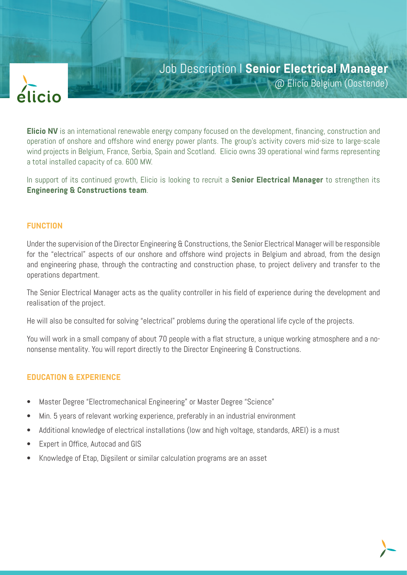

# Job Description I **Senior Electrical Manager**

@ Elicio Belgium (Oostende)

**Elicio NV** is an international renewable energy company focused on the development, financing, construction and operation of onshore and offshore wind energy power plants. The group's activity covers mid-size to large-scale wind projects in Belgium, France, Serbia, Spain and Scotland. Elicio owns 39 operational wind farms representing a total installed capacity of ca. 600 MW.

In support of its continued growth, Elicio is looking to recruit a **Senior Electrical Manager** to strengthen its **Engineering & Constructions team**.

## **FUNCTION**

Under the supervision of the Director Engineering & Constructions, the Senior Electrical Manager will be responsible for the "electrical" aspects of our onshore and offshore wind projects in Belgium and abroad, from the design and engineering phase, through the contracting and construction phase, to project delivery and transfer to the operations department.

The Senior Electrical Manager acts as the quality controller in his field of experience during the development and realisation of the project.

He will also be consulted for solving "electrical" problems during the operational life cycle of the projects.

You will work in a small company of about 70 people with a flat structure, a unique working atmosphere and a nononsense mentality. You will report directly to the Director Engineering & Constructions.

## **EDUCATION & EXPERIENCE**

- Master Degree "Electromechanical Engineering" or Master Degree "Science"
- Min. 5 years of relevant working experience, preferably in an industrial environment
- Additional knowledge of electrical installations (low and high voltage, standards, AREI) is a must
- Expert in Office, Autocad and GIS
- Knowledge of Etap, Digsilent or similar calculation programs are an asset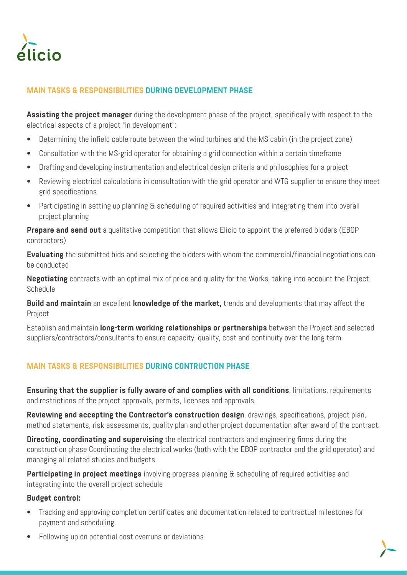

## **MAIN TASKS & RESPONSIBILITIES DURING DEVELOPMENT PHASE**

**Assisting the project manager** during the development phase of the project, specifically with respect to the electrical aspects of a project "in development":

- Determining the infield cable route between the wind turbines and the MS cabin (in the project zone)
- Consultation with the MS-grid operator for obtaining a grid connection within a certain timeframe
- Drafting and developing instrumentation and electrical design criteria and philosophies for a project
- Reviewing electrical calculations in consultation with the grid operator and WTG supplier to ensure they meet grid specifications
- Participating in setting up planning & scheduling of required activities and integrating them into overall project planning

**Prepare and send out** a qualitative competition that allows Elicio to appoint the preferred bidders (EBOP) contractors)

**Evaluating** the submitted bids and selecting the bidders with whom the commercial/financial negotiations can be conducted

**Negotiating** contracts with an optimal mix of price and quality for the Works, taking into account the Project Schedule

**Build and maintain** an excellent **knowledge of the market,** trends and developments that may affect the Project

Establish and maintain **long-term working relationships or partnerships** between the Project and selected suppliers/contractors/consultants to ensure capacity, quality, cost and continuity over the long term.

## **MAIN TASKS & RESPONSIBILITIES DURING CONTRUCTION PHASE**

**Ensuring that the supplier is fully aware of and complies with all conditions**, limitations, requirements and restrictions of the project approvals, permits, licenses and approvals.

**Reviewing and accepting the Contractor's construction design**, drawings, specifications, project plan, method statements, risk assessments, quality plan and other project documentation after award of the contract.

**Directing, coordinating and supervising** the electrical contractors and engineering firms during the construction phase Coordinating the electrical works (both with the EBOP contractor and the grid operator) and managing all related studies and budgets

**Participating in project meetings** involving progress planning & scheduling of required activities and integrating into the overall project schedule

## **Budget control:**

- Tracking and approving completion certificates and documentation related to contractual milestones for payment and scheduling.
- Following up on potential cost overruns or deviations